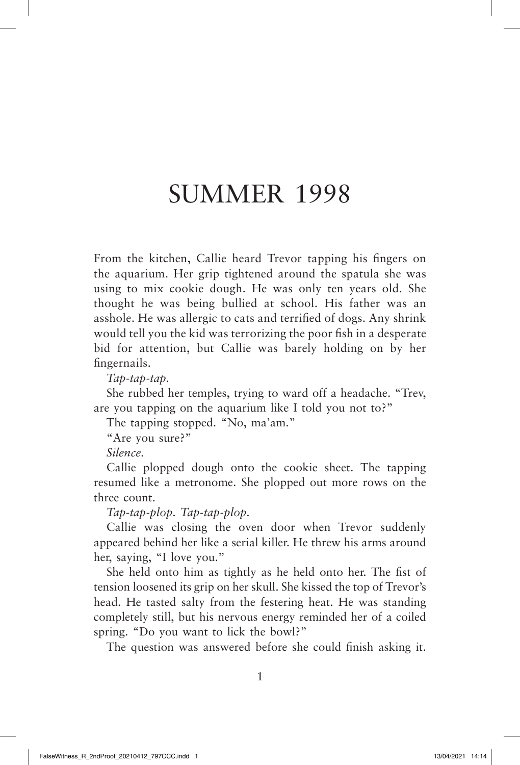## SUMMER 1998

From the kitchen, Callie heard Trevor tapping his fingers on the aquarium. Her grip tightened around the spatula she was using to mix cookie dough. He was only ten years old. She thought he was being bullied at school. His father was an asshole. He was allergic to cats and terrified of dogs. Any shrink would tell you the kid was terrorizing the poor fish in a desperate bid for attention, but Callie was barely holding on by her fingernails.

*Tap-tap-tap.*

She rubbed her temples, trying to ward off a headache. "Trev, are you tapping on the aquarium like I told you not to?"

The tapping stopped. "No, ma'am."

"Are you sure?"

*Silence.*

Callie plopped dough onto the cookie sheet. The tapping resumed like a metronome. She plopped out more rows on the three count.

## *Tap-tap-plop. Tap-tap-plop.*

Callie was closing the oven door when Trevor suddenly appeared behind her like a serial killer. He threw his arms around her, saying, "I love you."

She held onto him as tightly as he held onto her. The fist of tension loosened its grip on her skull. She kissed the top of Trevor's head. He tasted salty from the festering heat. He was standing completely still, but his nervous energy reminded her of a coiled spring. "Do you want to lick the bowl?"

The question was answered before she could finish asking it.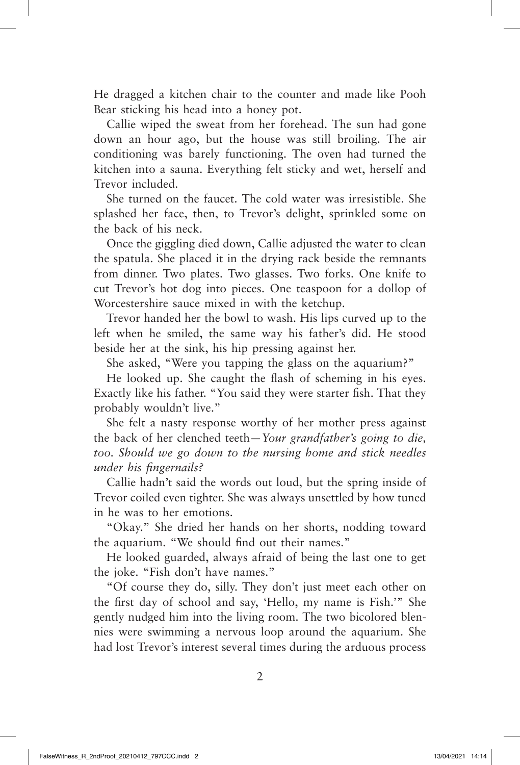He dragged a kitchen chair to the counter and made like Pooh Bear sticking his head into a honey pot.

Callie wiped the sweat from her forehead. The sun had gone down an hour ago, but the house was still broiling. The air conditioning was barely functioning. The oven had turned the kitchen into a sauna. Everything felt sticky and wet, herself and Trevor included.

She turned on the faucet. The cold water was irresistible. She splashed her face, then, to Trevor's delight, sprinkled some on the back of his neck.

Once the giggling died down, Callie adjusted the water to clean the spatula. She placed it in the drying rack beside the remnants from dinner. Two plates. Two glasses. Two forks. One knife to cut Trevor's hot dog into pieces. One teaspoon for a dollop of Worcestershire sauce mixed in with the ketchup.

Trevor handed her the bowl to wash. His lips curved up to the left when he smiled, the same way his father's did. He stood beside her at the sink, his hip pressing against her.

She asked, "Were you tapping the glass on the aquarium?"

He looked up. She caught the flash of scheming in his eyes. Exactly like his father. "You said they were starter fish. That they probably wouldn't live."

She felt a nasty response worthy of her mother press against the back of her clenched teeth—*Your grandfather's going to die, too. Should we go down to the nursing home and stick needles under his fingernails?*

Callie hadn't said the words out loud, but the spring inside of Trevor coiled even tighter. She was always unsettled by how tuned in he was to her emotions.

"Okay." She dried her hands on her shorts, nodding toward the aquarium. "We should find out their names."

He looked guarded, always afraid of being the last one to get the joke. "Fish don't have names."

"Of course they do, silly. They don't just meet each other on the first day of school and say, 'Hello, my name is Fish.'" She gently nudged him into the living room. The two bicolored blennies were swimming a nervous loop around the aquarium. She had lost Trevor's interest several times during the arduous process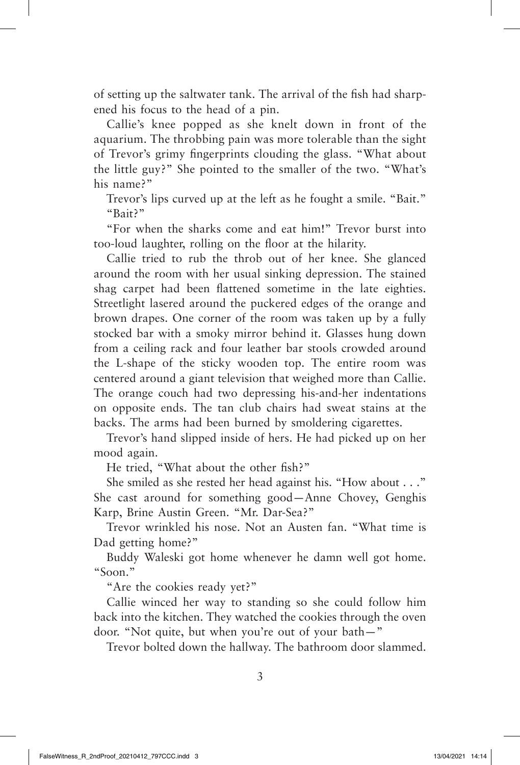of setting up the saltwater tank. The arrival of the fish had sharpened his focus to the head of a pin.

Callie's knee popped as she knelt down in front of the aquarium. The throbbing pain was more tolerable than the sight of Trevor's grimy fingerprints clouding the glass. "What about the little guy?" She pointed to the smaller of the two. "What's his name?"

Trevor's lips curved up at the left as he fought a smile. "Bait." "Bait?"

"For when the sharks come and eat him!" Trevor burst into too-loud laughter, rolling on the floor at the hilarity.

Callie tried to rub the throb out of her knee. She glanced around the room with her usual sinking depression. The stained shag carpet had been flattened sometime in the late eighties. Streetlight lasered around the puckered edges of the orange and brown drapes. One corner of the room was taken up by a fully stocked bar with a smoky mirror behind it. Glasses hung down from a ceiling rack and four leather bar stools crowded around the L-shape of the sticky wooden top. The entire room was centered around a giant television that weighed more than Callie. The orange couch had two depressing his-and-her indentations on opposite ends. The tan club chairs had sweat stains at the backs. The arms had been burned by smoldering cigarettes.

Trevor's hand slipped inside of hers. He had picked up on her mood again.

He tried, "What about the other fish?"

She smiled as she rested her head against his. "How about . . ." She cast around for something good—Anne Chovey, Genghis Karp, Brine Austin Green. "Mr. Dar-Sea?"

Trevor wrinkled his nose. Not an Austen fan. "What time is Dad getting home?"

Buddy Waleski got home whenever he damn well got home. "Soon."

"Are the cookies ready yet?"

Callie winced her way to standing so she could follow him back into the kitchen. They watched the cookies through the oven door. "Not quite, but when you're out of your bath—"

Trevor bolted down the hallway. The bathroom door slammed.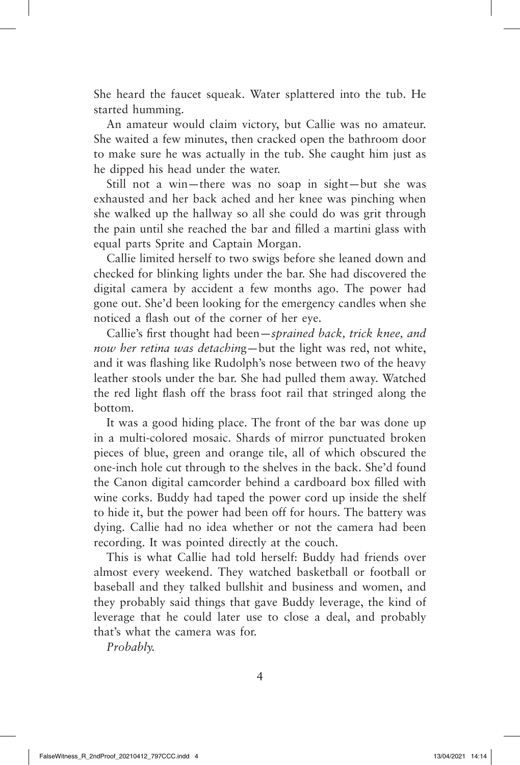She heard the faucet squeak. Water splattered into the tub. He started humming.

An amateur would claim victory, but Callie was no amateur. She waited a few minutes, then cracked open the bathroom door to make sure he was actually in the tub. She caught him just as he dipped his head under the water.

Still not a win—there was no soap in sight—but she was exhausted and her back ached and her knee was pinching when she walked up the hallway so all she could do was grit through the pain until she reached the bar and filled a martini glass with equal parts Sprite and Captain Morgan.

Callie limited herself to two swigs before she leaned down and checked for blinking lights under the bar. She had discovered the digital camera by accident a few months ago. The power had gone out. She'd been looking for the emergency candles when she noticed a flash out of the corner of her eye.

Callie's first thought had been—*sprained back, trick knee, and now her retina was detachin*g—but the light was red, not white, and it was flashing like Rudolph's nose between two of the heavy leather stools under the bar. She had pulled them away. Watched the red light flash off the brass foot rail that stringed along the bottom.

It was a good hiding place. The front of the bar was done up in a multi-colored mosaic. Shards of mirror punctuated broken pieces of blue, green and orange tile, all of which obscured the one-inch hole cut through to the shelves in the back. She'd found the Canon digital camcorder behind a cardboard box filled with wine corks. Buddy had taped the power cord up inside the shelf to hide it, but the power had been off for hours. The battery was dying. Callie had no idea whether or not the camera had been recording. It was pointed directly at the couch.

This is what Callie had told herself: Buddy had friends over almost every weekend. They watched basketball or football or baseball and they talked bullshit and business and women, and they probably said things that gave Buddy leverage, the kind of leverage that he could later use to close a deal, and probably that's what the camera was for.

*Probably.*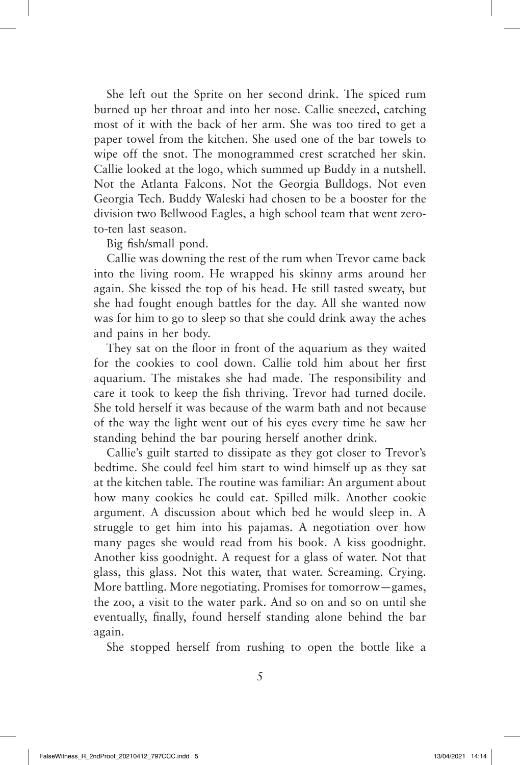She left out the Sprite on her second drink. The spiced rum burned up her throat and into her nose. Callie sneezed, catching most of it with the back of her arm. She was too tired to get a paper towel from the kitchen. She used one of the bar towels to wipe off the snot. The monogrammed crest scratched her skin. Callie looked at the logo, which summed up Buddy in a nutshell. Not the Atlanta Falcons. Not the Georgia Bulldogs. Not even Georgia Tech. Buddy Waleski had chosen to be a booster for the division two Bellwood Eagles, a high school team that went zeroto-ten last season.

Big fish/small pond.

Callie was downing the rest of the rum when Trevor came back into the living room. He wrapped his skinny arms around her again. She kissed the top of his head. He still tasted sweaty, but she had fought enough battles for the day. All she wanted now was for him to go to sleep so that she could drink away the aches and pains in her body.

They sat on the floor in front of the aquarium as they waited for the cookies to cool down. Callie told him about her first aquarium. The mistakes she had made. The responsibility and care it took to keep the fish thriving. Trevor had turned docile. She told herself it was because of the warm bath and not because of the way the light went out of his eyes every time he saw her standing behind the bar pouring herself another drink.

Callie's guilt started to dissipate as they got closer to Trevor's bedtime. She could feel him start to wind himself up as they sat at the kitchen table. The routine was familiar: An argument about how many cookies he could eat. Spilled milk. Another cookie argument. A discussion about which bed he would sleep in. A struggle to get him into his pajamas. A negotiation over how many pages she would read from his book. A kiss goodnight. Another kiss goodnight. A request for a glass of water. Not that glass, this glass. Not this water, that water. Screaming. Crying. More battling. More negotiating. Promises for tomorrow—games, the zoo, a visit to the water park. And so on and so on until she eventually, finally, found herself standing alone behind the bar again.

She stopped herself from rushing to open the bottle like a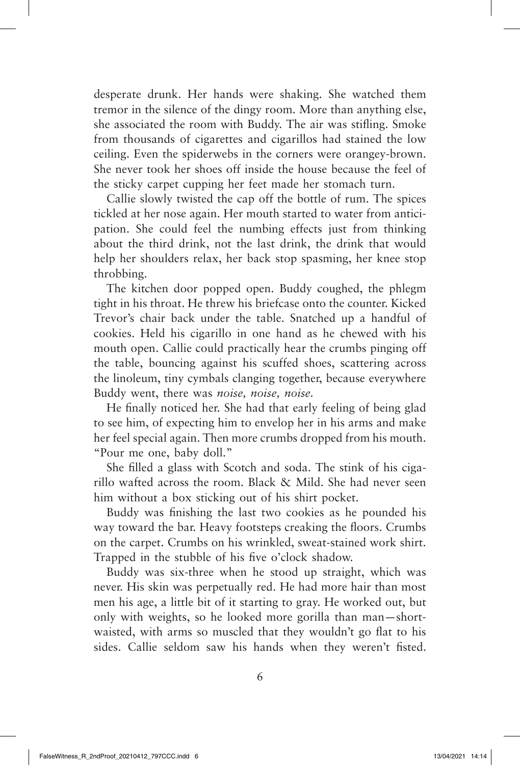desperate drunk. Her hands were shaking. She watched them tremor in the silence of the dingy room. More than anything else, she associated the room with Buddy. The air was stifling. Smoke from thousands of cigarettes and cigarillos had stained the low ceiling. Even the spiderwebs in the corners were orangey-brown. She never took her shoes off inside the house because the feel of the sticky carpet cupping her feet made her stomach turn.

Callie slowly twisted the cap off the bottle of rum. The spices tickled at her nose again. Her mouth started to water from anticipation. She could feel the numbing effects just from thinking about the third drink, not the last drink, the drink that would help her shoulders relax, her back stop spasming, her knee stop throbbing.

The kitchen door popped open. Buddy coughed, the phlegm tight in his throat. He threw his briefcase onto the counter. Kicked Trevor's chair back under the table. Snatched up a handful of cookies. Held his cigarillo in one hand as he chewed with his mouth open. Callie could practically hear the crumbs pinging off the table, bouncing against his scuffed shoes, scattering across the linoleum, tiny cymbals clanging together, because everywhere Buddy went, there was *noise, noise, noise.*

He finally noticed her. She had that early feeling of being glad to see him, of expecting him to envelop her in his arms and make her feel special again. Then more crumbs dropped from his mouth. "Pour me one, baby doll."

She filled a glass with Scotch and soda. The stink of his cigarillo wafted across the room. Black & Mild. She had never seen him without a box sticking out of his shirt pocket.

Buddy was finishing the last two cookies as he pounded his way toward the bar. Heavy footsteps creaking the floors. Crumbs on the carpet. Crumbs on his wrinkled, sweat-stained work shirt. Trapped in the stubble of his five o'clock shadow.

Buddy was six-three when he stood up straight, which was never. His skin was perpetually red. He had more hair than most men his age, a little bit of it starting to gray. He worked out, but only with weights, so he looked more gorilla than man—shortwaisted, with arms so muscled that they wouldn't go flat to his sides. Callie seldom saw his hands when they weren't fisted.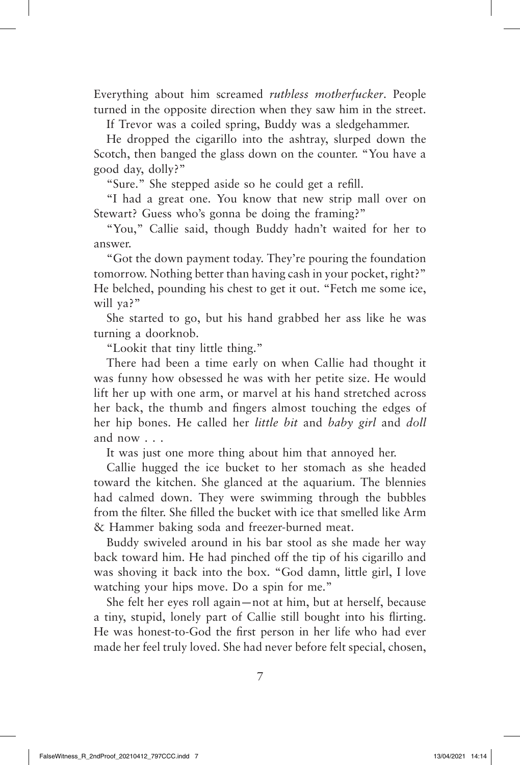Everything about him screamed *ruthless motherfucker*. People turned in the opposite direction when they saw him in the street.

If Trevor was a coiled spring, Buddy was a sledgehammer.

He dropped the cigarillo into the ashtray, slurped down the Scotch, then banged the glass down on the counter. "You have a good day, dolly?"

"Sure." She stepped aside so he could get a refill.

"I had a great one. You know that new strip mall over on Stewart? Guess who's gonna be doing the framing?"

"You," Callie said, though Buddy hadn't waited for her to answer.

"Got the down payment today. They're pouring the foundation tomorrow. Nothing better than having cash in your pocket, right?" He belched, pounding his chest to get it out. "Fetch me some ice, will ya?"

She started to go, but his hand grabbed her ass like he was turning a doorknob.

"Lookit that tiny little thing."

There had been a time early on when Callie had thought it was funny how obsessed he was with her petite size. He would lift her up with one arm, or marvel at his hand stretched across her back, the thumb and fingers almost touching the edges of her hip bones. He called her *little bit* and *baby girl* and *doll* and now . . .

It was just one more thing about him that annoyed her.

Callie hugged the ice bucket to her stomach as she headed toward the kitchen. She glanced at the aquarium. The blennies had calmed down. They were swimming through the bubbles from the filter. She filled the bucket with ice that smelled like Arm & Hammer baking soda and freezer-burned meat.

Buddy swiveled around in his bar stool as she made her way back toward him. He had pinched off the tip of his cigarillo and was shoving it back into the box. "God damn, little girl, I love watching your hips move. Do a spin for me."

She felt her eyes roll again—not at him, but at herself, because a tiny, stupid, lonely part of Callie still bought into his flirting. He was honest-to-God the first person in her life who had ever made her feel truly loved. She had never before felt special, chosen,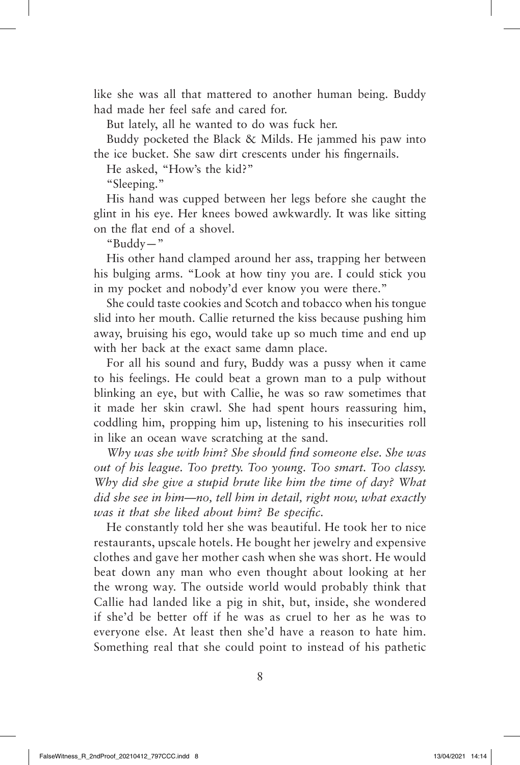like she was all that mattered to another human being. Buddy had made her feel safe and cared for.

But lately, all he wanted to do was fuck her.

Buddy pocketed the Black & Milds. He jammed his paw into the ice bucket. She saw dirt crescents under his fingernails.

He asked, "How's the kid?"

"Sleeping."

His hand was cupped between her legs before she caught the glint in his eye. Her knees bowed awkwardly. It was like sitting on the flat end of a shovel.

"Buddy—"

His other hand clamped around her ass, trapping her between his bulging arms. "Look at how tiny you are. I could stick you in my pocket and nobody'd ever know you were there."

She could taste cookies and Scotch and tobacco when his tongue slid into her mouth. Callie returned the kiss because pushing him away, bruising his ego, would take up so much time and end up with her back at the exact same damn place.

For all his sound and fury, Buddy was a pussy when it came to his feelings. He could beat a grown man to a pulp without blinking an eye, but with Callie, he was so raw sometimes that it made her skin crawl. She had spent hours reassuring him, coddling him, propping him up, listening to his insecurities roll in like an ocean wave scratching at the sand.

*Why was she with him? She should find someone else. She was out of his league. Too pretty. Too young. Too smart. Too classy. Why did she give a stupid brute like him the time of day? What did she see in him—no, tell him in detail, right now, what exactly was it that she liked about him? Be specific.*

He constantly told her she was beautiful. He took her to nice restaurants, upscale hotels. He bought her jewelry and expensive clothes and gave her mother cash when she was short. He would beat down any man who even thought about looking at her the wrong way. The outside world would probably think that Callie had landed like a pig in shit, but, inside, she wondered if she'd be better off if he was as cruel to her as he was to everyone else. At least then she'd have a reason to hate him. Something real that she could point to instead of his pathetic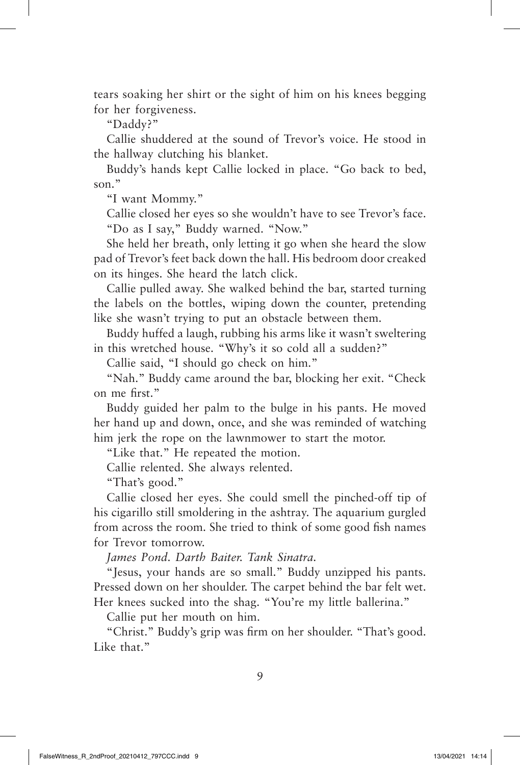tears soaking her shirt or the sight of him on his knees begging for her forgiveness.

"Daddy?"

Callie shuddered at the sound of Trevor's voice. He stood in the hallway clutching his blanket.

Buddy's hands kept Callie locked in place. "Go back to bed, son."

"I want Mommy."

Callie closed her eyes so she wouldn't have to see Trevor's face. "Do as I say," Buddy warned. "Now."

She held her breath, only letting it go when she heard the slow pad of Trevor's feet back down the hall. His bedroom door creaked on its hinges. She heard the latch click.

Callie pulled away. She walked behind the bar, started turning the labels on the bottles, wiping down the counter, pretending like she wasn't trying to put an obstacle between them.

Buddy huffed a laugh, rubbing his arms like it wasn't sweltering in this wretched house. "Why's it so cold all a sudden?"

Callie said, "I should go check on him."

"Nah." Buddy came around the bar, blocking her exit. "Check on me first."

Buddy guided her palm to the bulge in his pants. He moved her hand up and down, once, and she was reminded of watching him jerk the rope on the lawnmower to start the motor.

"Like that." He repeated the motion.

Callie relented. She always relented.

"That's good."

Callie closed her eyes. She could smell the pinched-off tip of his cigarillo still smoldering in the ashtray. The aquarium gurgled from across the room. She tried to think of some good fish names for Trevor tomorrow.

*James Pond. Darth Baiter. Tank Sinatra.*

"Jesus, your hands are so small." Buddy unzipped his pants. Pressed down on her shoulder. The carpet behind the bar felt wet. Her knees sucked into the shag. "You're my little ballerina."

Callie put her mouth on him.

"Christ." Buddy's grip was firm on her shoulder. "That's good. Like that."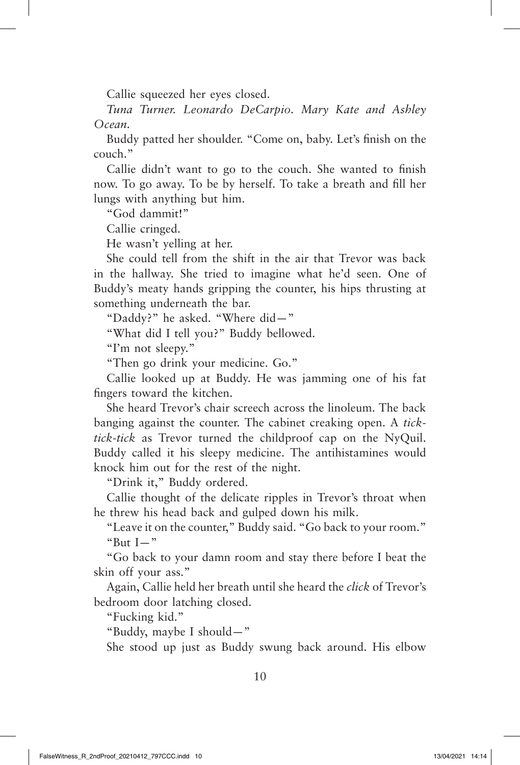Callie squeezed her eyes closed.

*Tuna Turner. Leonardo DeCarpio. Mary Kate and Ashley Ocean.*

Buddy patted her shoulder. "Come on, baby. Let's finish on the couch."

Callie didn't want to go to the couch. She wanted to finish now. To go away. To be by herself. To take a breath and fill her lungs with anything but him.

"God dammit!"

Callie cringed.

He wasn't yelling at her.

She could tell from the shift in the air that Trevor was back in the hallway. She tried to imagine what he'd seen. One of Buddy's meaty hands gripping the counter, his hips thrusting at something underneath the bar.

"Daddy?" he asked. "Where did—"

"What did I tell you?" Buddy bellowed.

"I'm not sleepy."

"Then go drink your medicine. Go."

Callie looked up at Buddy. He was jamming one of his fat fingers toward the kitchen.

She heard Trevor's chair screech across the linoleum. The back banging against the counter. The cabinet creaking open. A *ticktick-tick* as Trevor turned the childproof cap on the NyQuil. Buddy called it his sleepy medicine. The antihistamines would knock him out for the rest of the night.

"Drink it," Buddy ordered.

Callie thought of the delicate ripples in Trevor's throat when he threw his head back and gulped down his milk.

"Leave it on the counter," Buddy said. "Go back to your room." " $But I -$ "

"Go back to your damn room and stay there before I beat the skin off your ass."

Again, Callie held her breath until she heard the *click* of Trevor's bedroom door latching closed.

"Fucking kid."

"Buddy, maybe I should—"

She stood up just as Buddy swung back around. His elbow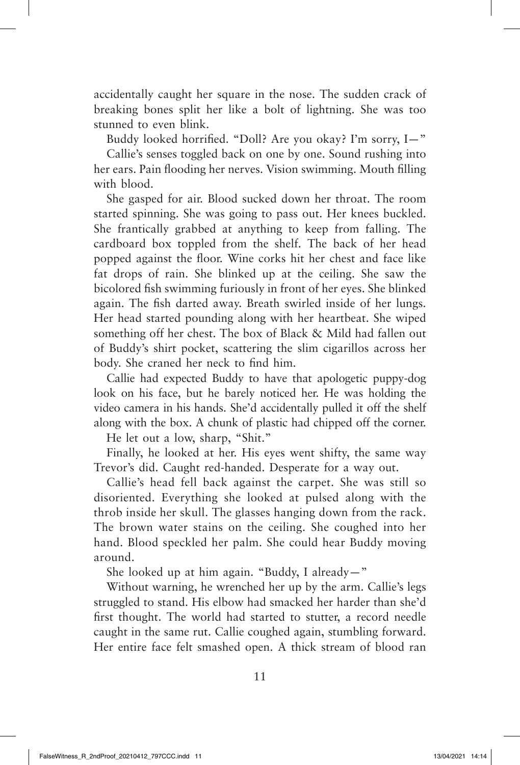accidentally caught her square in the nose. The sudden crack of breaking bones split her like a bolt of lightning. She was too stunned to even blink.

Buddy looked horrified. "Doll? Are you okay? I'm sorry, I—" Callie's senses toggled back on one by one. Sound rushing into her ears. Pain flooding her nerves. Vision swimming. Mouth filling with blood.

She gasped for air. Blood sucked down her throat. The room started spinning. She was going to pass out. Her knees buckled. She frantically grabbed at anything to keep from falling. The cardboard box toppled from the shelf. The back of her head popped against the floor. Wine corks hit her chest and face like fat drops of rain. She blinked up at the ceiling. She saw the bicolored fish swimming furiously in front of her eyes. She blinked again. The fish darted away. Breath swirled inside of her lungs. Her head started pounding along with her heartbeat. She wiped something off her chest. The box of Black & Mild had fallen out of Buddy's shirt pocket, scattering the slim cigarillos across her body. She craned her neck to find him.

Callie had expected Buddy to have that apologetic puppy-dog look on his face, but he barely noticed her. He was holding the video camera in his hands. She'd accidentally pulled it off the shelf along with the box. A chunk of plastic had chipped off the corner.

He let out a low, sharp, "Shit."

Finally, he looked at her. His eyes went shifty, the same way Trevor's did. Caught red-handed. Desperate for a way out.

Callie's head fell back against the carpet. She was still so disoriented. Everything she looked at pulsed along with the throb inside her skull. The glasses hanging down from the rack. The brown water stains on the ceiling. She coughed into her hand. Blood speckled her palm. She could hear Buddy moving around.

She looked up at him again. "Buddy, I already—"

Without warning, he wrenched her up by the arm. Callie's legs struggled to stand. His elbow had smacked her harder than she'd first thought. The world had started to stutter, a record needle caught in the same rut. Callie coughed again, stumbling forward. Her entire face felt smashed open. A thick stream of blood ran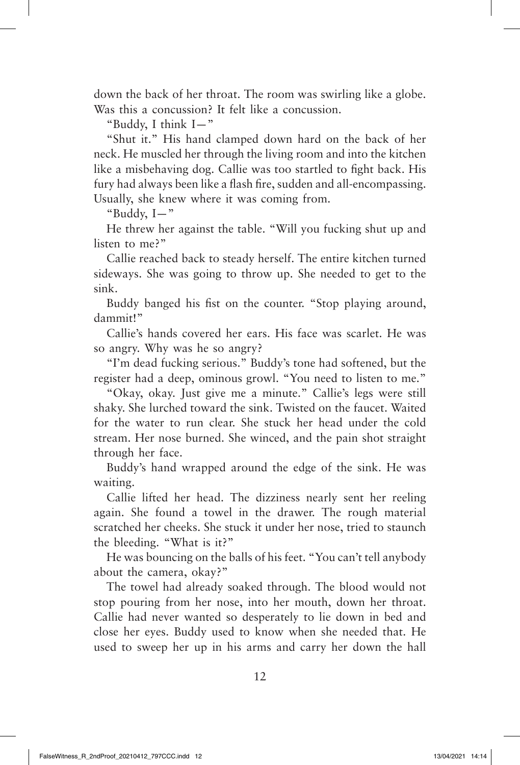down the back of her throat. The room was swirling like a globe. Was this a concussion? It felt like a concussion.

"Buddy, I think I—"

"Shut it." His hand clamped down hard on the back of her neck. He muscled her through the living room and into the kitchen like a misbehaving dog. Callie was too startled to fight back. His fury had always been like a flash fire, sudden and all-encompassing. Usually, she knew where it was coming from.

"Buddy,  $I -$ "

He threw her against the table. "Will you fucking shut up and listen to me?"

Callie reached back to steady herself. The entire kitchen turned sideways. She was going to throw up. She needed to get to the sink.

Buddy banged his fist on the counter. "Stop playing around, dammit!"

Callie's hands covered her ears. His face was scarlet. He was so angry. Why was he so angry?

"I'm dead fucking serious." Buddy's tone had softened, but the register had a deep, ominous growl. "You need to listen to me."

"Okay, okay. Just give me a minute." Callie's legs were still shaky. She lurched toward the sink. Twisted on the faucet. Waited for the water to run clear. She stuck her head under the cold stream. Her nose burned. She winced, and the pain shot straight through her face.

Buddy's hand wrapped around the edge of the sink. He was waiting.

Callie lifted her head. The dizziness nearly sent her reeling again. She found a towel in the drawer. The rough material scratched her cheeks. She stuck it under her nose, tried to staunch the bleeding. "What is it?"

He was bouncing on the balls of his feet. "You can't tell anybody about the camera, okay?"

The towel had already soaked through. The blood would not stop pouring from her nose, into her mouth, down her throat. Callie had never wanted so desperately to lie down in bed and close her eyes. Buddy used to know when she needed that. He used to sweep her up in his arms and carry her down the hall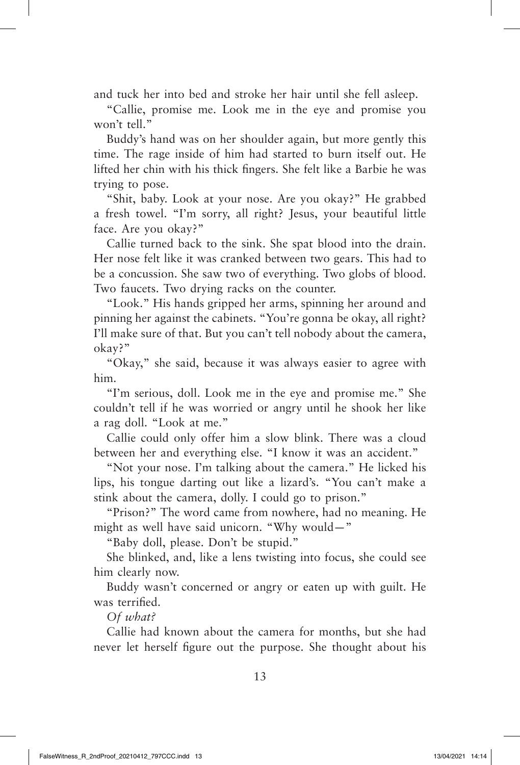and tuck her into bed and stroke her hair until she fell asleep.

"Callie, promise me. Look me in the eye and promise you won't tell."

Buddy's hand was on her shoulder again, but more gently this time. The rage inside of him had started to burn itself out. He lifted her chin with his thick fingers. She felt like a Barbie he was trying to pose.

"Shit, baby. Look at your nose. Are you okay?" He grabbed a fresh towel. "I'm sorry, all right? Jesus, your beautiful little face. Are you okay?"

Callie turned back to the sink. She spat blood into the drain. Her nose felt like it was cranked between two gears. This had to be a concussion. She saw two of everything. Two globs of blood. Two faucets. Two drying racks on the counter.

"Look." His hands gripped her arms, spinning her around and pinning her against the cabinets. "You're gonna be okay, all right? I'll make sure of that. But you can't tell nobody about the camera, okay?"

"Okay," she said, because it was always easier to agree with him.

"I'm serious, doll. Look me in the eye and promise me." She couldn't tell if he was worried or angry until he shook her like a rag doll. "Look at me."

Callie could only offer him a slow blink. There was a cloud between her and everything else. "I know it was an accident."

"Not your nose. I'm talking about the camera." He licked his lips, his tongue darting out like a lizard's. "You can't make a stink about the camera, dolly. I could go to prison."

"Prison?" The word came from nowhere, had no meaning. He might as well have said unicorn. "Why would—"

"Baby doll, please. Don't be stupid."

She blinked, and, like a lens twisting into focus, she could see him clearly now.

Buddy wasn't concerned or angry or eaten up with guilt. He was terrified.

*Of what?*

Callie had known about the camera for months, but she had never let herself figure out the purpose. She thought about his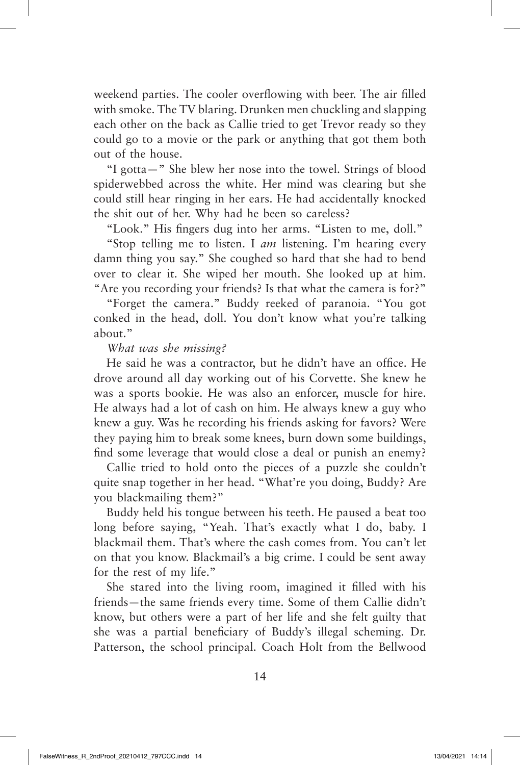weekend parties. The cooler overflowing with beer. The air filled with smoke. The TV blaring. Drunken men chuckling and slapping each other on the back as Callie tried to get Trevor ready so they could go to a movie or the park or anything that got them both out of the house.

"I gotta—" She blew her nose into the towel. Strings of blood spiderwebbed across the white. Her mind was clearing but she could still hear ringing in her ears. He had accidentally knocked the shit out of her. Why had he been so careless?

"Look." His fingers dug into her arms. "Listen to me, doll."

"Stop telling me to listen. I *am* listening. I'm hearing every damn thing you say." She coughed so hard that she had to bend over to clear it. She wiped her mouth. She looked up at him. "Are you recording your friends? Is that what the camera is for?"

"Forget the camera." Buddy reeked of paranoia. "You got conked in the head, doll. You don't know what you're talking about."

## *What was she missing?*

He said he was a contractor, but he didn't have an office. He drove around all day working out of his Corvette. She knew he was a sports bookie. He was also an enforcer, muscle for hire. He always had a lot of cash on him. He always knew a guy who knew a guy. Was he recording his friends asking for favors? Were they paying him to break some knees, burn down some buildings, find some leverage that would close a deal or punish an enemy?

Callie tried to hold onto the pieces of a puzzle she couldn't quite snap together in her head. "What're you doing, Buddy? Are you blackmailing them?"

Buddy held his tongue between his teeth. He paused a beat too long before saying, "Yeah. That's exactly what I do, baby. I blackmail them. That's where the cash comes from. You can't let on that you know. Blackmail's a big crime. I could be sent away for the rest of my life."

She stared into the living room, imagined it filled with his friends—the same friends every time. Some of them Callie didn't know, but others were a part of her life and she felt guilty that she was a partial beneficiary of Buddy's illegal scheming. Dr. Patterson, the school principal. Coach Holt from the Bellwood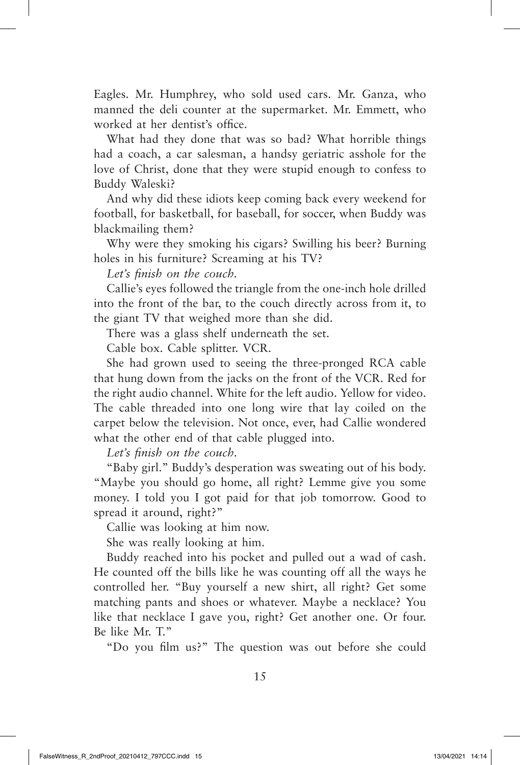Eagles. Mr. Humphrey, who sold used cars. Mr. Ganza, who manned the deli counter at the supermarket. Mr. Emmett, who worked at her dentist's office.

What had they done that was so bad? What horrible things had a coach, a car salesman, a handsy geriatric asshole for the love of Christ, done that they were stupid enough to confess to Buddy Waleski?

And why did these idiots keep coming back every weekend for football, for basketball, for baseball, for soccer, when Buddy was blackmailing them?

Why were they smoking his cigars? Swilling his beer? Burning holes in his furniture? Screaming at his TV?

*Let's finish on the couch.*

Callie's eyes followed the triangle from the one-inch hole drilled into the front of the bar, to the couch directly across from it, to the giant TV that weighed more than she did.

There was a glass shelf underneath the set.

Cable box. Cable splitter. VCR.

She had grown used to seeing the three-pronged RCA cable that hung down from the jacks on the front of the VCR. Red for the right audio channel. White for the left audio. Yellow for video. The cable threaded into one long wire that lay coiled on the carpet below the television. Not once, ever, had Callie wondered what the other end of that cable plugged into.

*Let's finish on the couch.*

"Baby girl." Buddy's desperation was sweating out of his body. "Maybe you should go home, all right? Lemme give you some money. I told you I got paid for that job tomorrow. Good to spread it around, right?"

Callie was looking at him now.

She was really looking at him.

Buddy reached into his pocket and pulled out a wad of cash. He counted off the bills like he was counting off all the ways he controlled her. "Buy yourself a new shirt, all right? Get some matching pants and shoes or whatever. Maybe a necklace? You like that necklace I gave you, right? Get another one. Or four. Be like Mr. T."

"Do you film us?" The question was out before she could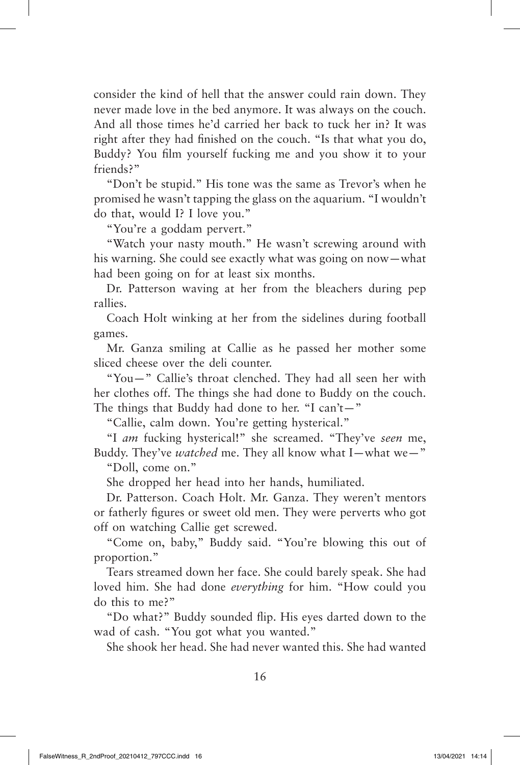consider the kind of hell that the answer could rain down. They never made love in the bed anymore. It was always on the couch. And all those times he'd carried her back to tuck her in? It was right after they had finished on the couch. "Is that what you do, Buddy? You film yourself fucking me and you show it to your friends?"

"Don't be stupid." His tone was the same as Trevor's when he promised he wasn't tapping the glass on the aquarium. "I wouldn't do that, would I? I love you."

"You're a goddam pervert."

"Watch your nasty mouth." He wasn't screwing around with his warning. She could see exactly what was going on now—what had been going on for at least six months.

Dr. Patterson waving at her from the bleachers during pep rallies.

Coach Holt winking at her from the sidelines during football games.

Mr. Ganza smiling at Callie as he passed her mother some sliced cheese over the deli counter.

"You—" Callie's throat clenched. They had all seen her with her clothes off. The things she had done to Buddy on the couch. The things that Buddy had done to her. "I can't-"

"Callie, calm down. You're getting hysterical."

"I *am* fucking hysterical!" she screamed. "They've *seen* me, Buddy. They've *watched* me. They all know what I—what we—"

"Doll, come on."

She dropped her head into her hands, humiliated.

Dr. Patterson. Coach Holt. Mr. Ganza. They weren't mentors or fatherly figures or sweet old men. They were perverts who got off on watching Callie get screwed.

"Come on, baby," Buddy said. "You're blowing this out of proportion."

Tears streamed down her face. She could barely speak. She had loved him. She had done *everything* for him. "How could you do this to me?"

"Do what?" Buddy sounded flip. His eyes darted down to the wad of cash. "You got what you wanted."

She shook her head. She had never wanted this. She had wanted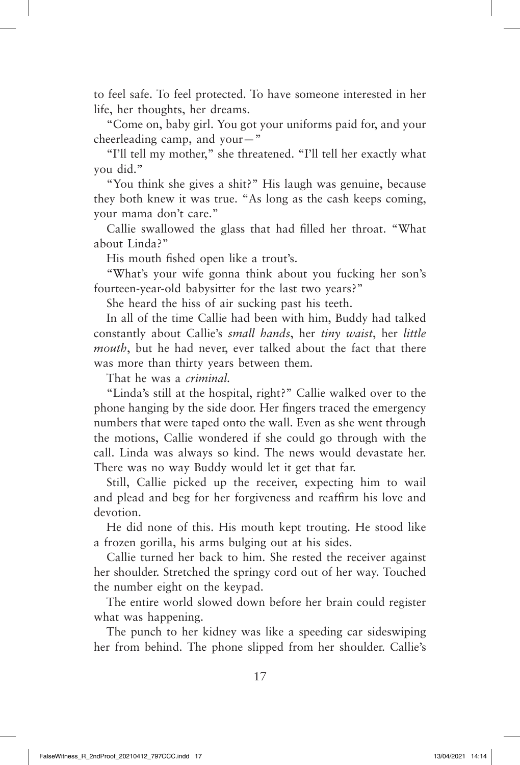to feel safe. To feel protected. To have someone interested in her life, her thoughts, her dreams.

"Come on, baby girl. You got your uniforms paid for, and your cheerleading camp, and your—"

"I'll tell my mother," she threatened. "I'll tell her exactly what you did."

"You think she gives a shit?" His laugh was genuine, because they both knew it was true. "As long as the cash keeps coming, your mama don't care."

Callie swallowed the glass that had filled her throat. "What about Linda?"

His mouth fished open like a trout's.

"What's your wife gonna think about you fucking her son's fourteen-year-old babysitter for the last two years?"

She heard the hiss of air sucking past his teeth.

In all of the time Callie had been with him, Buddy had talked constantly about Callie's *small hands*, her *tiny waist*, her *little mouth*, but he had never, ever talked about the fact that there was more than thirty years between them.

That he was a *criminal.*

"Linda's still at the hospital, right?" Callie walked over to the phone hanging by the side door. Her fingers traced the emergency numbers that were taped onto the wall. Even as she went through the motions, Callie wondered if she could go through with the call. Linda was always so kind. The news would devastate her. There was no way Buddy would let it get that far.

Still, Callie picked up the receiver, expecting him to wail and plead and beg for her forgiveness and reaffirm his love and devotion.

He did none of this. His mouth kept trouting. He stood like a frozen gorilla, his arms bulging out at his sides.

Callie turned her back to him. She rested the receiver against her shoulder. Stretched the springy cord out of her way. Touched the number eight on the keypad.

The entire world slowed down before her brain could register what was happening.

The punch to her kidney was like a speeding car sideswiping her from behind. The phone slipped from her shoulder. Callie's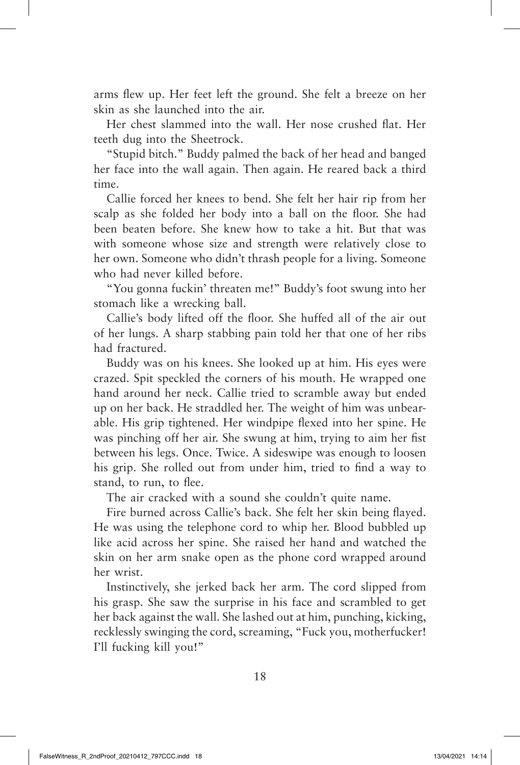arms flew up. Her feet left the ground. She felt a breeze on her skin as she launched into the air.

Her chest slammed into the wall. Her nose crushed flat. Her teeth dug into the Sheetrock.

"Stupid bitch." Buddy palmed the back of her head and banged her face into the wall again. Then again. He reared back a third time.

Callie forced her knees to bend. She felt her hair rip from her scalp as she folded her body into a ball on the floor. She had been beaten before. She knew how to take a hit. But that was with someone whose size and strength were relatively close to her own. Someone who didn't thrash people for a living. Someone who had never killed before.

"You gonna fuckin' threaten me!" Buddy's foot swung into her stomach like a wrecking ball.

Callie's body lifted off the floor. She huffed all of the air out of her lungs. A sharp stabbing pain told her that one of her ribs had fractured.

Buddy was on his knees. She looked up at him. His eyes were crazed. Spit speckled the corners of his mouth. He wrapped one hand around her neck. Callie tried to scramble away but ended up on her back. He straddled her. The weight of him was unbearable. His grip tightened. Her windpipe flexed into her spine. He was pinching off her air. She swung at him, trying to aim her fist between his legs. Once. Twice. A sideswipe was enough to loosen his grip. She rolled out from under him, tried to find a way to stand, to run, to flee.

The air cracked with a sound she couldn't quite name.

Fire burned across Callie's back. She felt her skin being flayed. He was using the telephone cord to whip her. Blood bubbled up like acid across her spine. She raised her hand and watched the skin on her arm snake open as the phone cord wrapped around her wrist.

Instinctively, she jerked back her arm. The cord slipped from his grasp. She saw the surprise in his face and scrambled to get her back against the wall. She lashed out at him, punching, kicking, recklessly swinging the cord, screaming, "Fuck you, motherfucker! I'll fucking kill you!"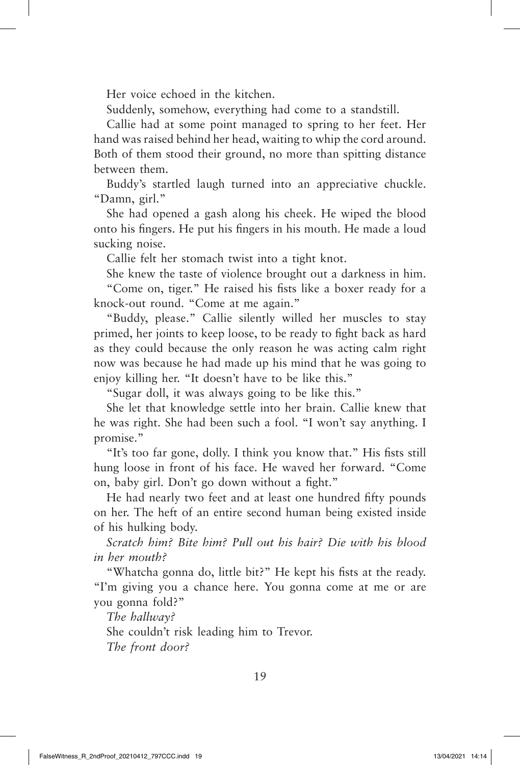Her voice echoed in the kitchen.

Suddenly, somehow, everything had come to a standstill.

Callie had at some point managed to spring to her feet. Her hand was raised behind her head, waiting to whip the cord around. Both of them stood their ground, no more than spitting distance between them.

Buddy's startled laugh turned into an appreciative chuckle. "Damn, girl."

She had opened a gash along his cheek. He wiped the blood onto his fingers. He put his fingers in his mouth. He made a loud sucking noise.

Callie felt her stomach twist into a tight knot.

She knew the taste of violence brought out a darkness in him.

"Come on, tiger." He raised his fists like a boxer ready for a knock-out round. "Come at me again."

"Buddy, please." Callie silently willed her muscles to stay primed, her joints to keep loose, to be ready to fight back as hard as they could because the only reason he was acting calm right now was because he had made up his mind that he was going to enjoy killing her. "It doesn't have to be like this."

"Sugar doll, it was always going to be like this."

She let that knowledge settle into her brain. Callie knew that he was right. She had been such a fool. "I won't say anything. I promise."

"It's too far gone, dolly. I think you know that." His fists still hung loose in front of his face. He waved her forward. "Come on, baby girl. Don't go down without a fight."

He had nearly two feet and at least one hundred fifty pounds on her. The heft of an entire second human being existed inside of his hulking body.

*Scratch him? Bite him? Pull out his hair? Die with his blood in her mouth?*

"Whatcha gonna do, little bit?" He kept his fists at the ready. "I'm giving you a chance here. You gonna come at me or are you gonna fold?"

*The hallway?* 

She couldn't risk leading him to Trevor.

*The front door?*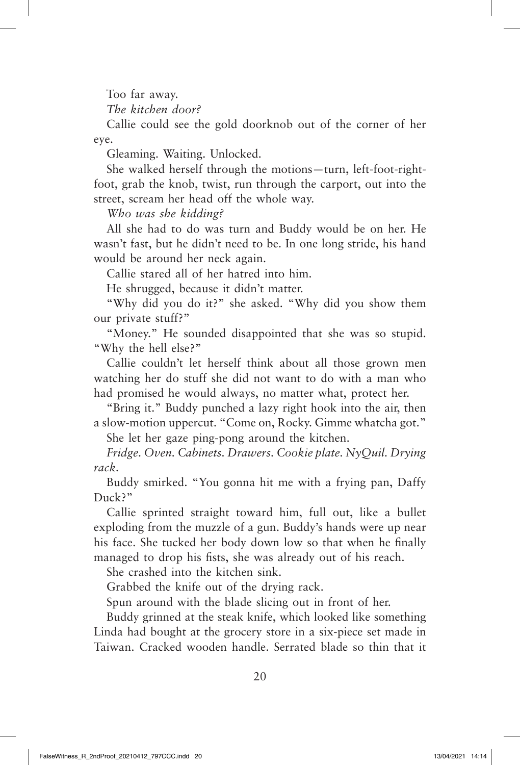Too far away.

*The kitchen door?*

Callie could see the gold doorknob out of the corner of her eye.

Gleaming. Waiting. Unlocked.

She walked herself through the motions—turn, left-foot-rightfoot, grab the knob, twist, run through the carport, out into the street, scream her head off the whole way.

*Who was she kidding?*

All she had to do was turn and Buddy would be on her. He wasn't fast, but he didn't need to be. In one long stride, his hand would be around her neck again.

Callie stared all of her hatred into him.

He shrugged, because it didn't matter.

"Why did you do it?" she asked. "Why did you show them our private stuff?"

"Money." He sounded disappointed that she was so stupid. "Why the hell else?"

Callie couldn't let herself think about all those grown men watching her do stuff she did not want to do with a man who had promised he would always, no matter what, protect her.

"Bring it." Buddy punched a lazy right hook into the air, then a slow-motion uppercut. "Come on, Rocky. Gimme whatcha got."

She let her gaze ping-pong around the kitchen.

*Fridge. Oven. Cabinets. Drawers. Cookie plate. NyQuil. Drying rack.*

Buddy smirked. "You gonna hit me with a frying pan, Daffy Duck?"

Callie sprinted straight toward him, full out, like a bullet exploding from the muzzle of a gun. Buddy's hands were up near his face. She tucked her body down low so that when he finally managed to drop his fists, she was already out of his reach.

She crashed into the kitchen sink.

Grabbed the knife out of the drying rack.

Spun around with the blade slicing out in front of her.

Buddy grinned at the steak knife, which looked like something Linda had bought at the grocery store in a six-piece set made in Taiwan. Cracked wooden handle. Serrated blade so thin that it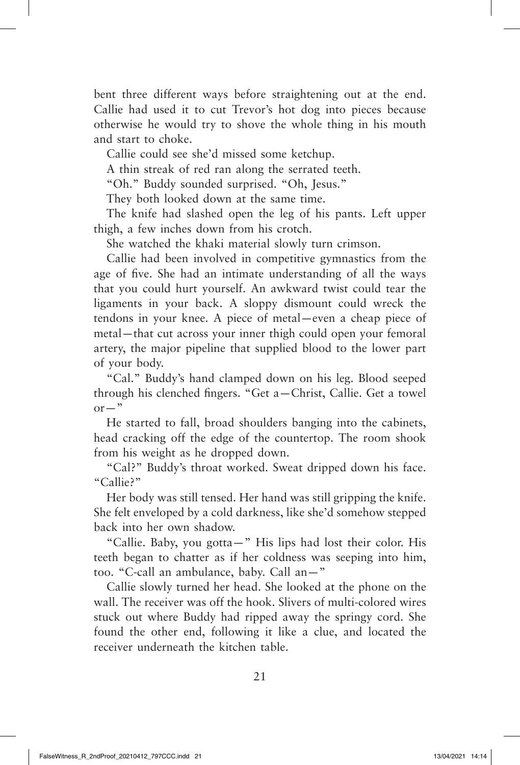bent three different ways before straightening out at the end. Callie had used it to cut Trevor's hot dog into pieces because otherwise he would try to shove the whole thing in his mouth and start to choke.

Callie could see she'd missed some ketchup.

A thin streak of red ran along the serrated teeth.

"Oh." Buddy sounded surprised. "Oh, Jesus."

They both looked down at the same time.

The knife had slashed open the leg of his pants. Left upper thigh, a few inches down from his crotch.

She watched the khaki material slowly turn crimson.

Callie had been involved in competitive gymnastics from the age of five. She had an intimate understanding of all the ways that you could hurt yourself. An awkward twist could tear the ligaments in your back. A sloppy dismount could wreck the tendons in your knee. A piece of metal—even a cheap piece of metal—that cut across your inner thigh could open your femoral artery, the major pipeline that supplied blood to the lower part of your body.

"Cal." Buddy's hand clamped down on his leg. Blood seeped through his clenched fingers. "Get a—Christ, Callie. Get a towel  $or -$ "

He started to fall, broad shoulders banging into the cabinets, head cracking off the edge of the countertop. The room shook from his weight as he dropped down.

"Cal?" Buddy's throat worked. Sweat dripped down his face. "Callie?"

Her body was still tensed. Her hand was still gripping the knife. She felt enveloped by a cold darkness, like she'd somehow stepped back into her own shadow.

"Callie. Baby, you gotta—" His lips had lost their color. His teeth began to chatter as if her coldness was seeping into him, too. "C-call an ambulance, baby. Call an—"

Callie slowly turned her head. She looked at the phone on the wall. The receiver was off the hook. Slivers of multi-colored wires stuck out where Buddy had ripped away the springy cord. She found the other end, following it like a clue, and located the receiver underneath the kitchen table.